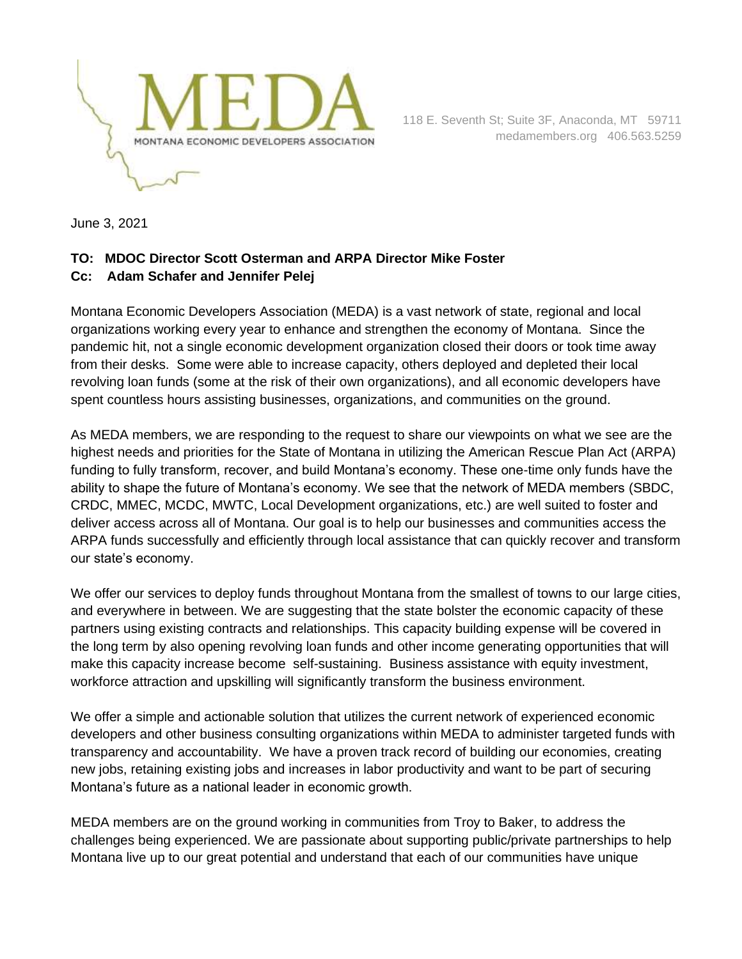

 118 E. Seventh St; Suite 3F, Anaconda, MT 59711 medamembers.org 406.563.5259

June 3, 2021

## **TO: MDOC Director Scott Osterman and ARPA Director Mike Foster Cc: Adam Schafer and Jennifer Pelej**

Montana Economic Developers Association (MEDA) is a vast network of state, regional and local organizations working every year to enhance and strengthen the economy of Montana. Since the pandemic hit, not a single economic development organization closed their doors or took time away from their desks. Some were able to increase capacity, others deployed and depleted their local revolving loan funds (some at the risk of their own organizations), and all economic developers have spent countless hours assisting businesses, organizations, and communities on the ground.

As MEDA members, we are responding to the request to share our viewpoints on what we see are the highest needs and priorities for the State of Montana in utilizing the American Rescue Plan Act (ARPA) funding to fully transform, recover, and build Montana's economy. These one-time only funds have the ability to shape the future of Montana's economy. We see that the network of MEDA members (SBDC, CRDC, MMEC, MCDC, MWTC, Local Development organizations, etc.) are well suited to foster and deliver access across all of Montana. Our goal is to help our businesses and communities access the ARPA funds successfully and efficiently through local assistance that can quickly recover and transform our state's economy.

We offer our services to deploy funds throughout Montana from the smallest of towns to our large cities, and everywhere in between. We are suggesting that the state bolster the economic capacity of these partners using existing contracts and relationships. This capacity building expense will be covered in the long term by also opening revolving loan funds and other income generating opportunities that will make this capacity increase become self-sustaining. Business assistance with equity investment, workforce attraction and upskilling will significantly transform the business environment.

We offer a simple and actionable solution that utilizes the current network of experienced economic developers and other business consulting organizations within MEDA to administer targeted funds with transparency and accountability. We have a proven track record of building our economies, creating new jobs, retaining existing jobs and increases in labor productivity and want to be part of securing Montana's future as a national leader in economic growth.

MEDA members are on the ground working in communities from Troy to Baker, to address the challenges being experienced. We are passionate about supporting public/private partnerships to help Montana live up to our great potential and understand that each of our communities have unique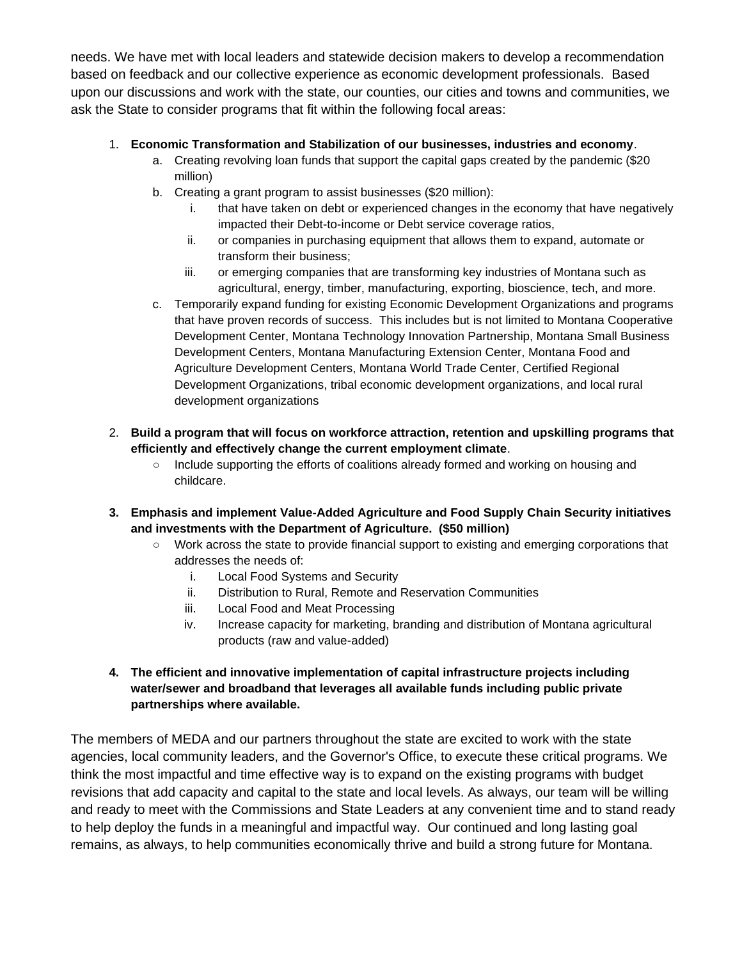needs. We have met with local leaders and statewide decision makers to develop a recommendation based on feedback and our collective experience as economic development professionals. Based upon our discussions and work with the state, our counties, our cities and towns and communities, we ask the State to consider programs that fit within the following focal areas:

## 1. **Economic Transformation and Stabilization of our businesses, industries and economy**.

- a. Creating revolving loan funds that support the capital gaps created by the pandemic (\$20 million)
- b. Creating a grant program to assist businesses (\$20 million):
	- i. that have taken on debt or experienced changes in the economy that have negatively impacted their Debt-to-income or Debt service coverage ratios,
	- ii. or companies in purchasing equipment that allows them to expand, automate or transform their business;
	- iii. or emerging companies that are transforming key industries of Montana such as agricultural, energy, timber, manufacturing, exporting, bioscience, tech, and more.
- c. Temporarily expand funding for existing Economic Development Organizations and programs that have proven records of success. This includes but is not limited to Montana Cooperative Development Center, Montana Technology Innovation Partnership, Montana Small Business Development Centers, Montana Manufacturing Extension Center, Montana Food and Agriculture Development Centers, Montana World Trade Center, Certified Regional Development Organizations, tribal economic development organizations, and local rural development organizations
- 2. **Build a program that will focus on workforce attraction, retention and upskilling programs that efficiently and effectively change the current employment climate**.
	- Include supporting the efforts of coalitions already formed and working on housing and childcare.
- **3. Emphasis and implement Value-Added Agriculture and Food Supply Chain Security initiatives and investments with the Department of Agriculture. (\$50 million)**
	- Work across the state to provide financial support to existing and emerging corporations that addresses the needs of:
		- i. Local Food Systems and Security
		- ii. Distribution to Rural, Remote and Reservation Communities
		- iii. Local Food and Meat Processing
		- iv. Increase capacity for marketing, branding and distribution of Montana agricultural products (raw and value-added)

## **4. The efficient and innovative implementation of capital infrastructure projects including water/sewer and broadband that leverages all available funds including public private partnerships where available.**

The members of MEDA and our partners throughout the state are excited to work with the state agencies, local community leaders, and the Governor's Office, to execute these critical programs. We think the most impactful and time effective way is to expand on the existing programs with budget revisions that add capacity and capital to the state and local levels. As always, our team will be willing and ready to meet with the Commissions and State Leaders at any convenient time and to stand ready to help deploy the funds in a meaningful and impactful way. Our continued and long lasting goal remains, as always, to help communities economically thrive and build a strong future for Montana.